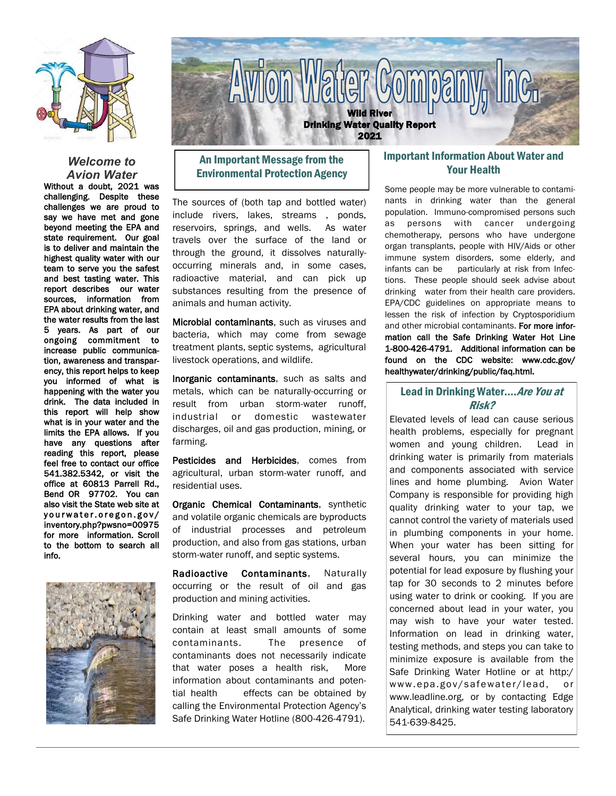

### *Welcome to Avion Water*

Without a doubt, 2021 was challenging. Despite these challenges we are proud to say we have met and gone beyond meeting the EPA and state requirement. Our goal is to deliver and maintain the highest quality water with our team to serve you the safest and best tasting water. This report describes our water sources, information from EPA about drinking water, and the water results from the last 5 years. As part of our ongoing commitment to increase public communication, awareness and transparency, this report helps to keep you informed of what is happening with the water you drink. The data included in this report will help show what is in your water and the limits the EPA allows. If you have any questions after reading this report, please feel free to contact our office 541.382.5342, or visit the office at 60813 Parrell Rd., Bend OR 97702. You can also visit the State web site at yourwater.oregon.gov/ inventory.php?pwsno=00975 for more information. Scroll to the bottom to search all info.





# An Important Message from the Environmental Protection Agency

The sources of (both tap and bottled water) include rivers, lakes, streams , ponds, reservoirs, springs, and wells. As water travels over the surface of the land or through the ground, it dissolves naturallyoccurring minerals and, in some cases, radioactive material, and can pick up substances resulting from the presence of animals and human activity.

Microbial contaminants, such as viruses and bacteria, which may come from sewage treatment plants, septic systems, agricultural livestock operations, and wildlife.

Inorganic contaminants, such as salts and metals, which can be naturally-occurring or result from urban storm-water runoff, industrial or domestic wastewater discharges, oil and gas production, mining, or farming.

Pesticides and Herbicides, comes from agricultural, urban storm-water runoff, and residential uses.

Organic Chemical Contaminants, synthetic and volatile organic chemicals are byproducts of industrial processes and petroleum production, and also from gas stations, urban storm-water runoff, and septic systems.

Radioactive Contaminants, Naturally occurring or the result of oil and gas production and mining activities.

Drinking water and bottled water may contain at least small amounts of some contaminants. The presence of contaminants does not necessarily indicate that water poses a health risk, More information about contaminants and potential health effects can be obtained by calling the Environmental Protection Agency's Safe Drinking Water Hotline (800-426-4791).

## Important Information About Water and Your Health

Some people may be more vulnerable to contaminants in drinking water than the general population. Immuno-compromised persons such as persons with cancer undergoing chemotherapy, persons who have undergone organ transplants, people with HIV/Aids or other immune system disorders, some elderly, and infants can be particularly at risk from Infections. These people should seek advise about drinking water from their health care providers. EPA/CDC guidelines on appropriate means to lessen the risk of infection by Cryptosporidium and other microbial contaminants. For more information call the Safe Drinking Water Hot Line 1-800-426-4791. Additional information can be found on the CDC website: www.cdc.gov/ healthywater/drinking/public/faq.html.

## Lead in Drinking Water.... Are You at Risk?

Elevated levels of lead can cause serious health problems, especially for pregnant women and young children. Lead in drinking water is primarily from materials and components associated with service lines and home plumbing. Avion Water Company is responsible for providing high quality drinking water to your tap, we cannot control the variety of materials used in plumbing components in your home. When your water has been sitting for several hours, you can minimize the potential for lead exposure by flushing your tap for 30 seconds to 2 minutes before using water to drink or cooking. If you are concerned about lead in your water, you may wish to have your water tested. Information on lead in drinking water, testing methods, and steps you can take to minimize exposure is available from the Safe Drinking Water Hotline or at http:/ www.epa.gov/safewater/lead, or www.leadline.org, or by contacting Edge Analytical, drinking water testing laboratory 541-639-8425.